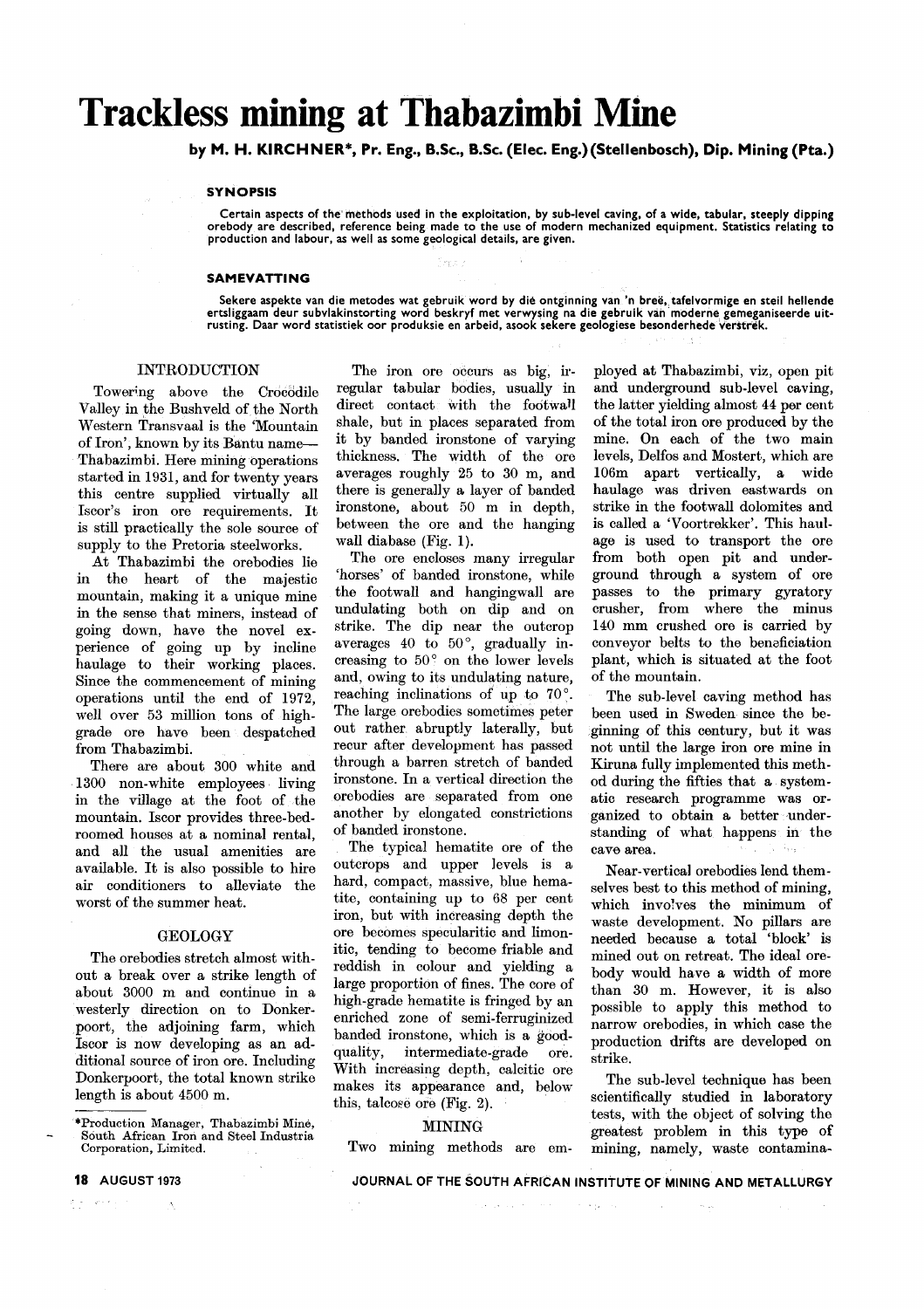# **Trackless mining at Thabazimbi Mine**

by M. H. KIRCHNER\*. Pr. Eng.. B.Sc.. B.Sc. (Elec. Eng.}(Stellenbosch). Dip. Mining (Pta.)

#### **SYNOPSIS**

Certain aspects ?f the' methods used in the exploitation, by sub-level caving, of a wide, tabular, steeply dipping orebody are described, reference being made to the use of modern mechanized equipment. Statistics relating to production and labour, as well as some geological details, are given.

#### SAMEVATTING

Sekere aspekte van die metodes wat gebruik word by die ontginning van 'n breë, tafelvormige en steil hellende<br>ertsliggaam deur subvlakinstorting word beskryf met verwysing na die gebruik van moderne gemeganiseerde uitrusting. Daar word statistiek oor produksie en arbeid, asook sekere geologiese besonderhede verstrek

#### INTRODUCTION

Towering above the Crocodile Valley in the Bushveld of the North Western Transvaal is the 'Mountain of Iron', known by its Bahtu name-Thabazimbi. Here mining operations started in 1931, and for twenty years this centre supplied virtually all Iscor's iron ore requirements. It is still practically the sole source of supply to the Pretoria steelworks.

At Thabazimbi the orebodies lie in the heart of the majestic mountain, making it a unique mine in the sense that miners, instead of going down, have the novel experience of going up by incline haulage to their working places. Since the commencement of mining operations until the end of 1972, well over 53 million tons of highgrade ore have been despatched from Thabazimbi.

There are about 300 white and 1300 non-white employees living in the village at the foot of the mountain. Iscor provides three-bedroomed houses at a nominal rental, and all the usual amenities are available. It is also possible to hire air conditioners to alleviate the worst of the summer heat.

#### GEOLOGY

The ore bodies stretch almost without a break over a strike length of about 3000 m and continue in a westerly direction on to Donkerpoort, the adjoining farm, which Iscor is now developing as an additional source of iron ore. Including Donkerpoort, the total known strike length is about 4500 m.

 $\omega \rightarrow \infty$  .

The iron ore occurs as big, irregular tabular bodies, usually in direct contact with the footwall shale, but in places separated from it by banded ironstone of varying thickness. The width of the ore averages roughly 25 to 30 m, and there is generally a layer of banded ironstone, about 50 m in depth, between the ore and the hanging wall diabase (Fig. 1).

i ey k

The ore encloses many irregular 'horses' of banded ironstone, while the footwall and hangingwall are undulating both on dip and on strike. The dip near the outcrop averages 40 to 50°, gradually increasing to 50° on the lower levels and, owing to its undulating nature, reaching inclinations of up to 70°. The large orebodies sometimes peter out rather abruptly laterally, but recur after development has passed through a barren stretch of banded ironstone. In a vertical direction the ore bodies are separated from one another by elongated constrictions of banded ironstone.

The typical hematite ore of the outcrops and upper levels is a hard, compact, massive, blue hematite, containing up to 68 per cent iron, but with increasing depth the ore becomes specularitic and limonitic, tending to become friable and reddish in colour and yielding a large proportion of fines. The core of high-grade hematite is fringed by an enriched zone of semi-ferruginized banded ironstone, which is a goodquality, intermediate-grade ore. With increasing depth, calcitic ore makes its appearance and, below this, talcose ore (Fig. 2).

#### MINING

Two mining methods are em-

ployed at Thabazimbi, viz, open pit and underground sub-level caving, the latter yielding almost 44 per cent of the total iron ore produced by the mine. On each of the two main levels, Delfos and Mostert, which are 106m apart vertically, a wide haulage was driven eastwards on strike in the footwall dolomites and is called a 'Voortrekker'. This haul. age is used to transport the ore from both open pit and underground through a system of ore passes to the primary gyratory crusher, from where the minus 140 mm crushed ore is carried by conveyor belts to the benaficiation plant, which is situated at the foot of the mountain.

The sub-level caving method has been used in Sweden since the beginning of this century, but it was not until the large iron ore mine in Kiruna fully implemented this method during the fifties that a systematic research programme was organized to obtain a better understanding of what happens in the cave area.

Near-vertical ore bodies lend themselves best to this method of mining, which involves the minimum of waste development. No pillars are needed because a total 'block' is mined out on retreat. The ideal orebody would have a width of more than 30 m. However, it is also possible to apply this method to narrow orebodies, in which case the production drifts are developed on strike.

The sub-level technique has been scientifically studied in laboratory tests, with the object of solving the greatest problem in this type of mining, namely, waste contamina-

JOURNAL OF THE SOUTH AFRICAN INSTITUTE OF MINING AND METALLURGY

المواقع والمتحادث والمعادلة والمتحدث

<sup>.</sup>Production Manager, Thahazimbi Mine, South African Iron and Steel Industria Corporation, Limited.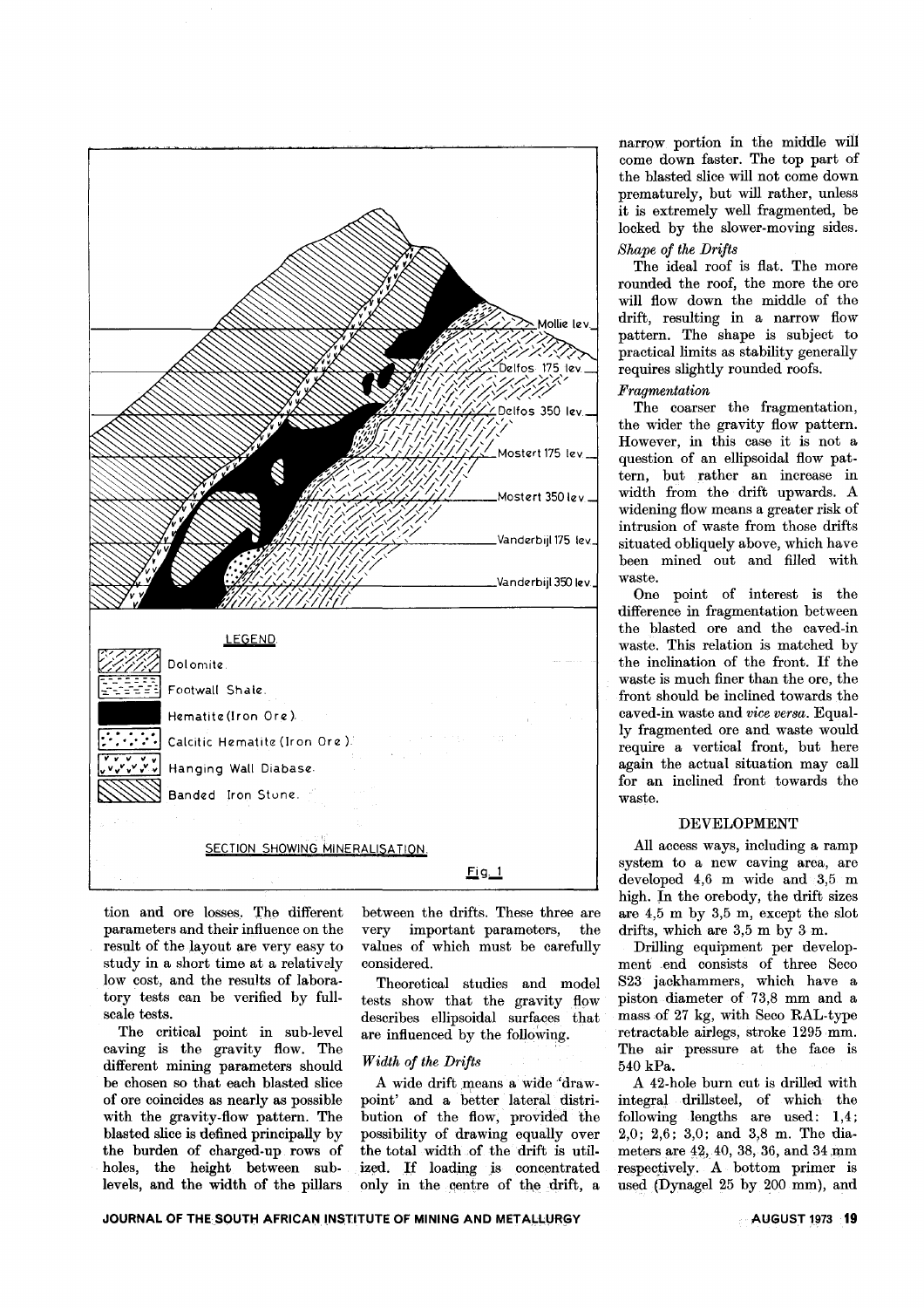

tion and ore losses. The different parameters and their influence on the result of the layout are very easy to study in a short time at a relatively low cost, and the results of laboratory tests can be verified by fullscale tests.

The critical point in sub-level caving is the gravity flow. The different mining parameters should be chosen so that each blasted slice of ore coincides as nearly as possible with the gravity-flow pattern. The blasted slice is defined principally by the burden of charged-up rows of holes, the height between sublevels, and the width of the pillars

between the drifts. These three are very important parameters, the values of which must be carefully considered.

Theoretical studies and model tests show that the gravity flow describes ellipsoidal surfaces that are influenced by the following.

#### *Width of the Drifts*

A wide drift means a wide' drawpoint' and a better lateral distribution of the flow, provided the possibility of drawing equally over the total width of the drift is util. ized. *If* loading js concentrated only in the centre of the drift, a narrow portion in the middle will come down faster. The top part of the blasted slice will not come down prematurely, but will rather, unless it is extremely well fragmented, be locked by the slower-moving sides.

## *Shape of the Drifts*

The ideal roof is flat. The more rounded the roof, the more the ore will flow down the middle of the drift, resulting in a narrow flow pattern. The shape is subject to practical limits as stability generally requires slightly rounded roofs.

#### *Fragmentation*

The coarser the fragmentation, the wider the gravity flow pattern. However, in this case it is not a question of an ellipsoidal flow pattern, but rather an increase in width from the drift upwards. A widening flow means a greater risk of intrusion of waste from those drifts situated obliquely above, which have been mined out and filled with waste.

One point of interest is the difference in fragmentation between the blasted ore and the caved-in waste. This relation is matched by the inclination of the front. If the waste is much finer than the ore, the front should be inclined towards the caved-in waste and *vice versa.* Equally fragmented ore and waste would require a vertical front, but here again the actual situation may call for an inclined front towards the waste.

#### DEVELOPMENT

All access ways, including a ramp system to a new caving area, are developed 4,6 m wide and 3,5 m high. In the orebody, the drift sizes are 4,5 m by 3,5 m, except the slot drifts, which are  $3,5 \text{ m}$  by  $3 \text{ m}$ .

Drilling equipment per development end consists of three Seco S23 jackhammers, which have a piston diameter of 73,8 mm and a mass of 27 kg, with Seco RAL-type retractable airlegs, stroke 1295 mm. The air pressure at the face is 540 kPa.

A 42-hole burn cut is drilled with integral' drillsteel, of which the following lengths are used: 1,4; 2,0; 2,6; 3,0; and 3,8 m. The diameters are 42, 40, 38, 36, and 34 mm respectively. A bottom primer is used (Dynagel 25 by. 200 mm), and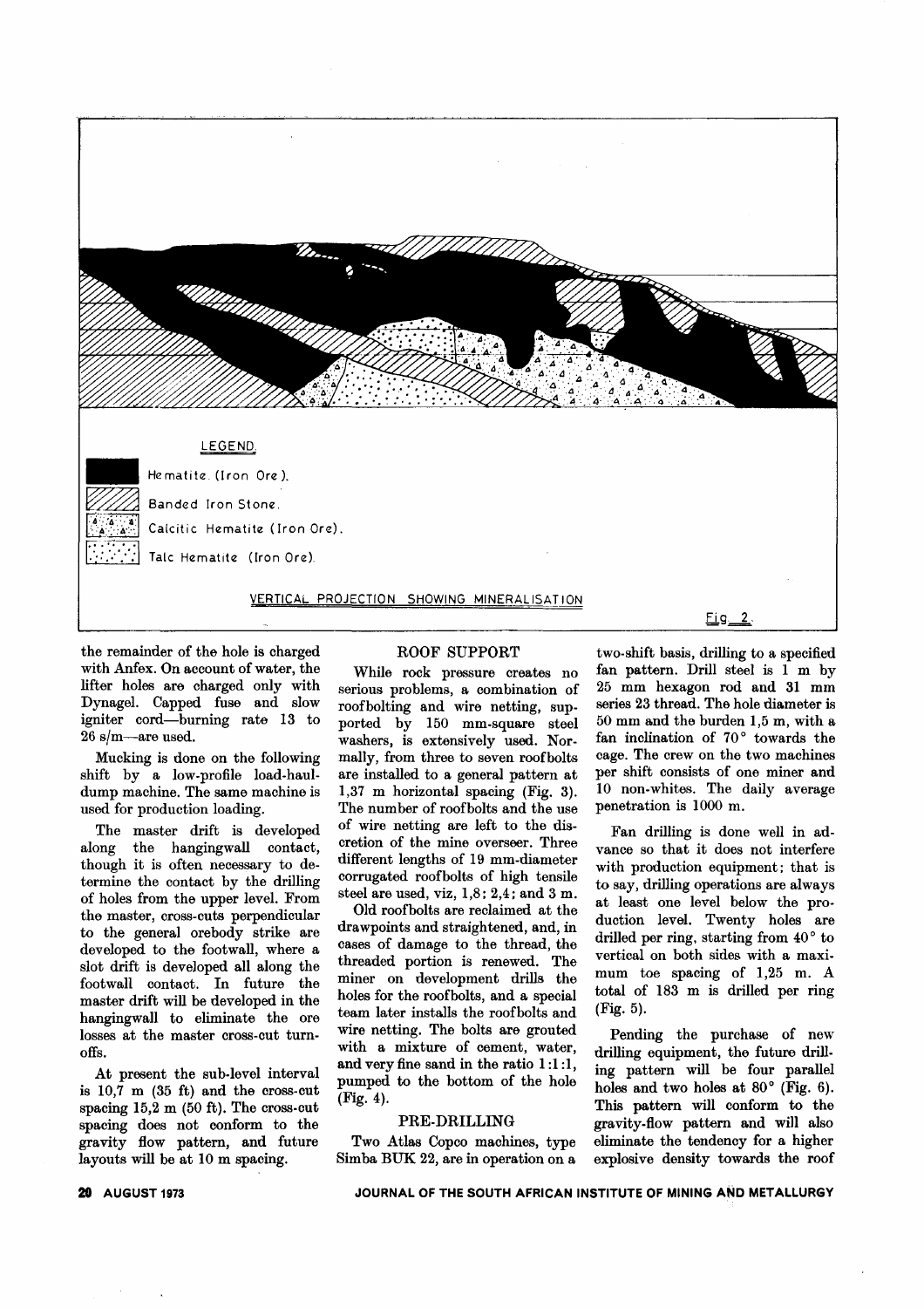

the remainder of the hole is charged with Anfex. On account of water, the lifter holes are charged only with Dynagel. Capped fuse and slow igniter cord-burning rate 13 to 26 s/m-are used.

Mucking is done on the following shift by a low-profile load-hauldump machine. The same machine is used for production loading.

The master drift is developed along the hangingwall contact, though it is often necessary to determine the contact by the drilling of holes from the upper level. From the master, cross-cuts perpendicular to the general orebody strike are developed to the footwall, where a slot drift is developed all along the footwall contact. In future the master drift will be developed in the hangingwall to eliminate the ore losses at the master cross-cut turnoffs.

At present the sub-level interval is 10,7 m (35 ft) and the cross-cut spacing 15,2 m (50 ft). The cross-cut spacing does not conform to the gravity flow pattern, and future layouts will be at 10 m spacing.

#### ROOF SUPPORT

While rock pressure creates no serious problems, a combination of roofbolting and wire netting, supported by 150 mm-square steel washers, is extensively used. Normally, from three to seven roofbolts are installed to a general pattern at 1,37 m horizontal spacing (Fig. 3). The number of roofbolts and the use of wire netting are left to the discretion of the mine overseer. Three different lengths of 19 mm-diameter corrugated roofbolts of high tensile steel are used, viz, 1,8; 2,4; and 3 m.

Old roofbolts are reclaimed at the drawpoints and straightened, and, in cases of damage to the thread, the threaded portion is renewed. The miner on development drills the holes for the roofbolts, and a special team later installs the roofbolts and wire netting. The bolts are grouted with a mixture of cement, water, and very fine sand in the ratio 1:1 :1, pumped to the bottom of the hole (Fig. 4).

#### PRE-DRILLING

Two Atlas Copco machines, type Simba BUK 22, are in operation on a

two-shift basis, drilling to a specified fan pattern. Drill steel is 1 m by 25 mm hexagon rod and 31 mm series 23 thread. The hole diameter is 50 mm and the burden 1,5 m, with a fan inclination of 70° towards the cage. The crew on the two machines per shift consists of one miner and 10 non-whites. The daily average penetration is 1000 m.

Fan drilling is done well in advance so that it does not interfere with production equipment; that is to say, drilling operations are always at least one level below the production level. Twenty holes are drilled per ring, starting from 40° to vertical on both sides with a maximum toe spacing of 1,25 m. A total of 183 m is drilled per ring (Fig. 5).

Pending the purchase of new drilling equipment, the future drilling pattern will be four parallel holes and two holes at 80° (Fig. 6). This pattern will conform to the gravity-flow pattern and will also eliminate the tendency for a higher explosive density towards the roof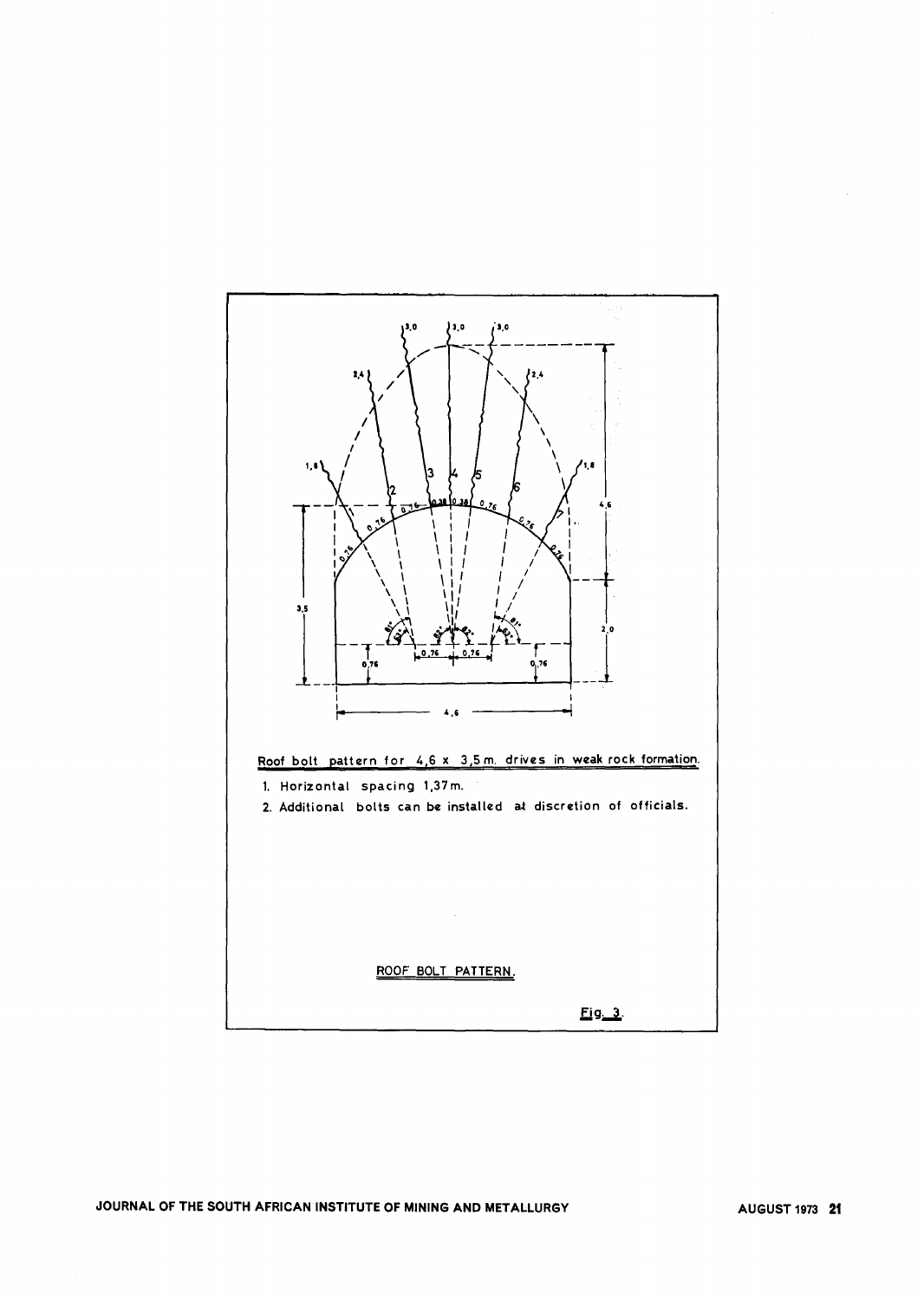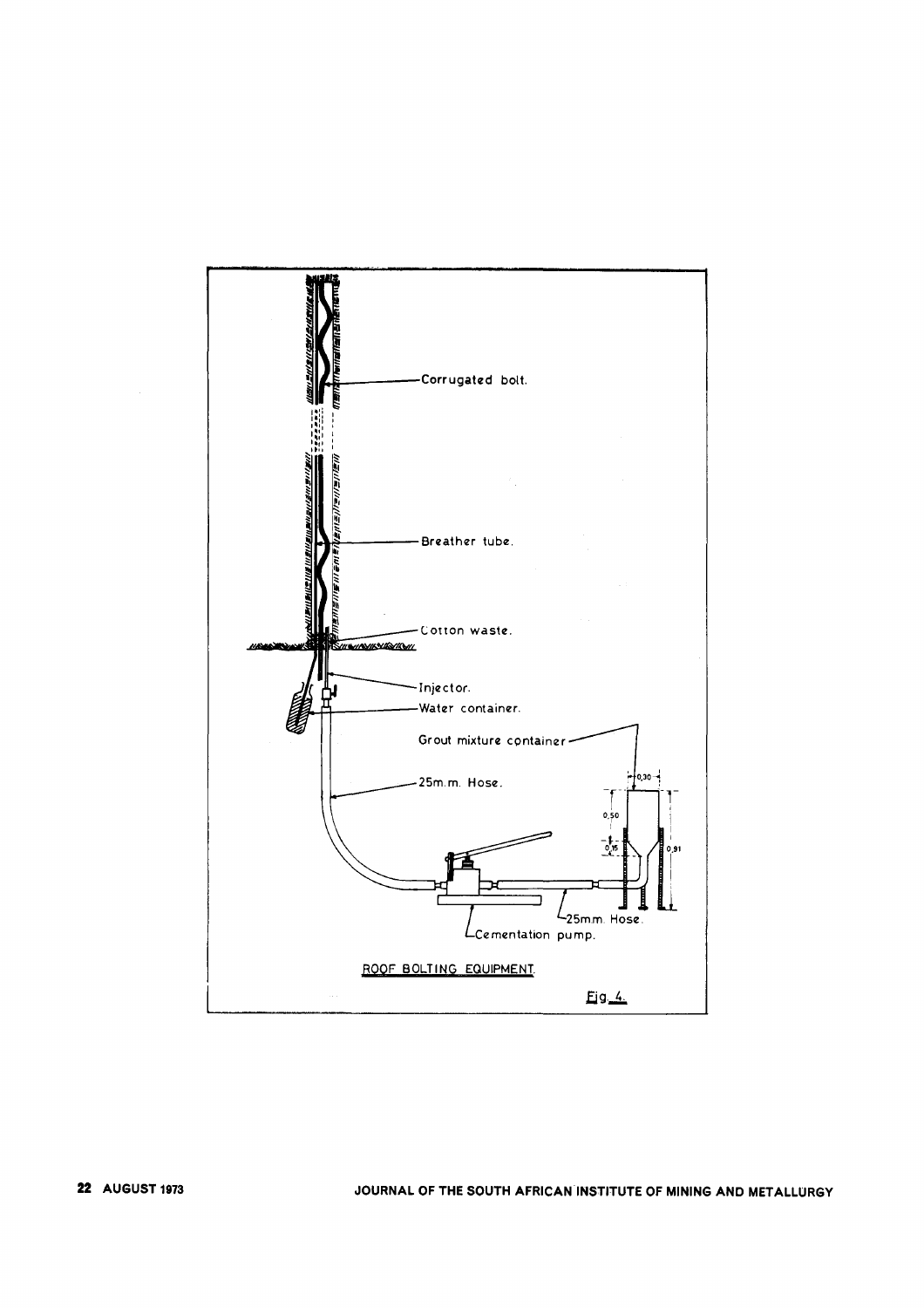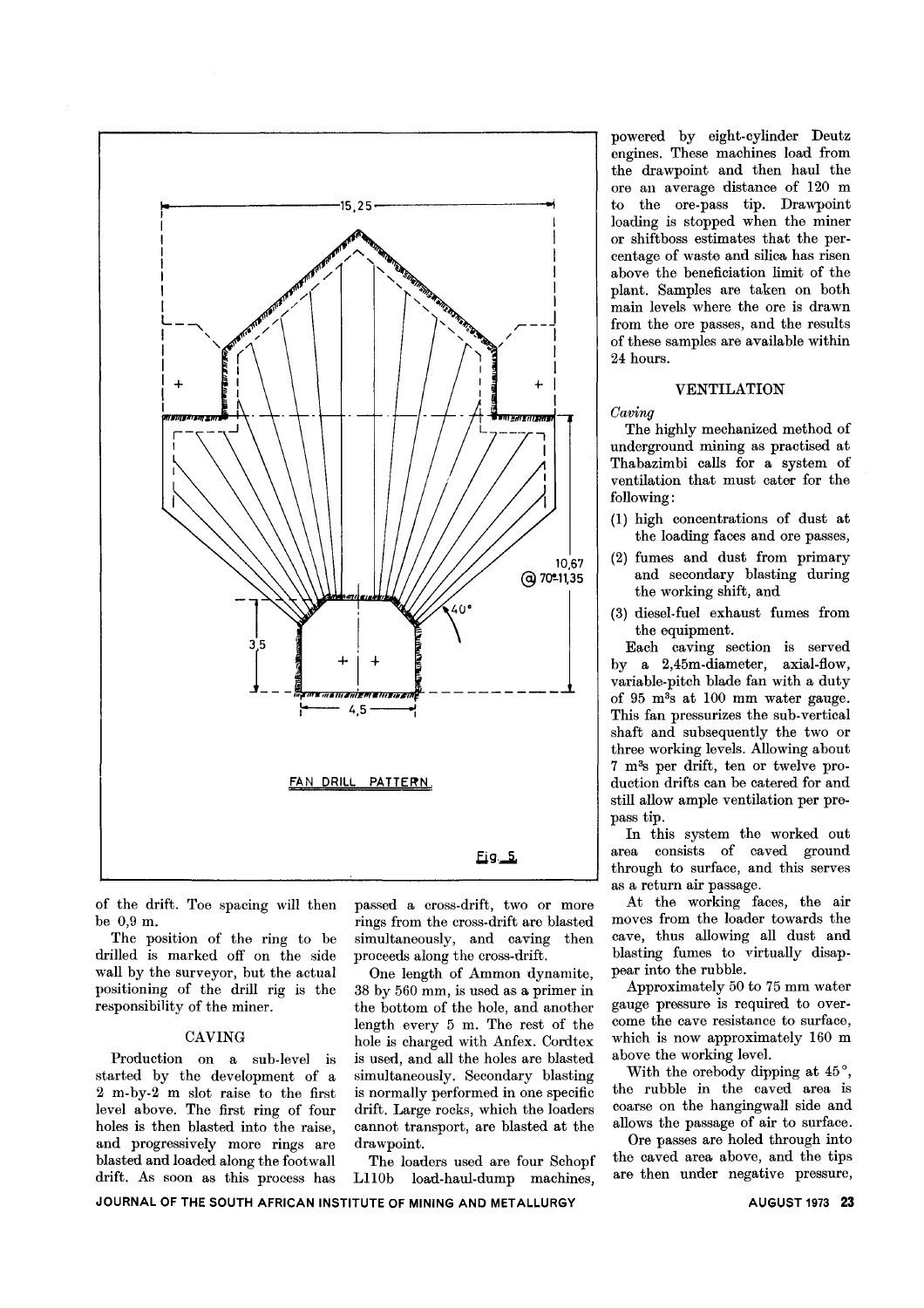

of the drift. Toe spacing will then be 0,9 m.

The position of the ring to be drilled is marked off on the side wall by the surveyor, but the actual positioning of the drill rig is the responsibility of the miner.

started by the development of a simultaneously. Secondary blasting 2 m-by-2 m slot raise to the first is normally performed in one specific level above. The first ring of four drift. Large rocks, which the loaders holes is then blasted into the raise, cannot transport, are blasted at the and progressively more rings are drawpoint. blasted and loaded along the footwall The loaders used are four Schopf drift. As soon as this process has L110b load-haul-dump machines,

passed a cross-drift, two or more rings from the cross-drift are blasted simultaneously, and caving then proceeds along the cross-drift.

One length of Ammon dynamite, 38 by 560 mm, is used as a primer in the bottom of the hole, and another length every 5 m. The rest of the CAVING hole is charged with Anfex. Cordtex Production on a sub-level is is used, and all the holes are blasted

powered by eight-cylinder Deutz engines. These machines load from the drawpoint and then haul the ore an average distance of 120 m to the ore-pass tip. Drawpoint loading is stopped when the miner or shiftboss estimates that the percentage of waste and silica has risen above the beneficiation limit of the plant. Samples are taken on both main levels where the ore is drawn from the ore passes, and the results of these samples are available within 24 hours.

### VENTILATION

*Caving*

The highly mechanized method of underground mining as practised at Thabazimbi calls for a system of ventilation that must cater for the following:

- (1) high concentrations of dust at the loading faces and ore passes,
- (2) fumes and dust from primary and secondary blasting during the working shift, and
- (3) diesel-fuel exhaust fumes from the equipment.

Each caving section is served by a 2,45m-diameter, axial-flow, variable-pitch blade fan with a duty of 95 m3s at 100 mm water gauge. This fan pressurizes the sub-vertical shaft and subsequently the two or three working levels. Allowing about 7 m3s per drift, ten or twelve production drifts can be catered for and still allow ample ventilation per prepass tip.

In this system the worked out area consists of caved ground through to surface, and this serves as a return air passage.

At the working faces, the air moves from the loader towards the cave, thus allowing all dust and blasting fumes to virtually disappear into the rubble.

Approximately 50 to 75 mm water gauge pressure is required to overcome the cave resistance to surface, which is now approximately 160 m above the working level.

With the orebody dipping at  $45^{\circ}$ , the rubble in the caved area is coarse on the hangingwall side and allows the passage of air to surface.

Ore passes are holed through into the caved area above, and the tips are then under negative pressure,